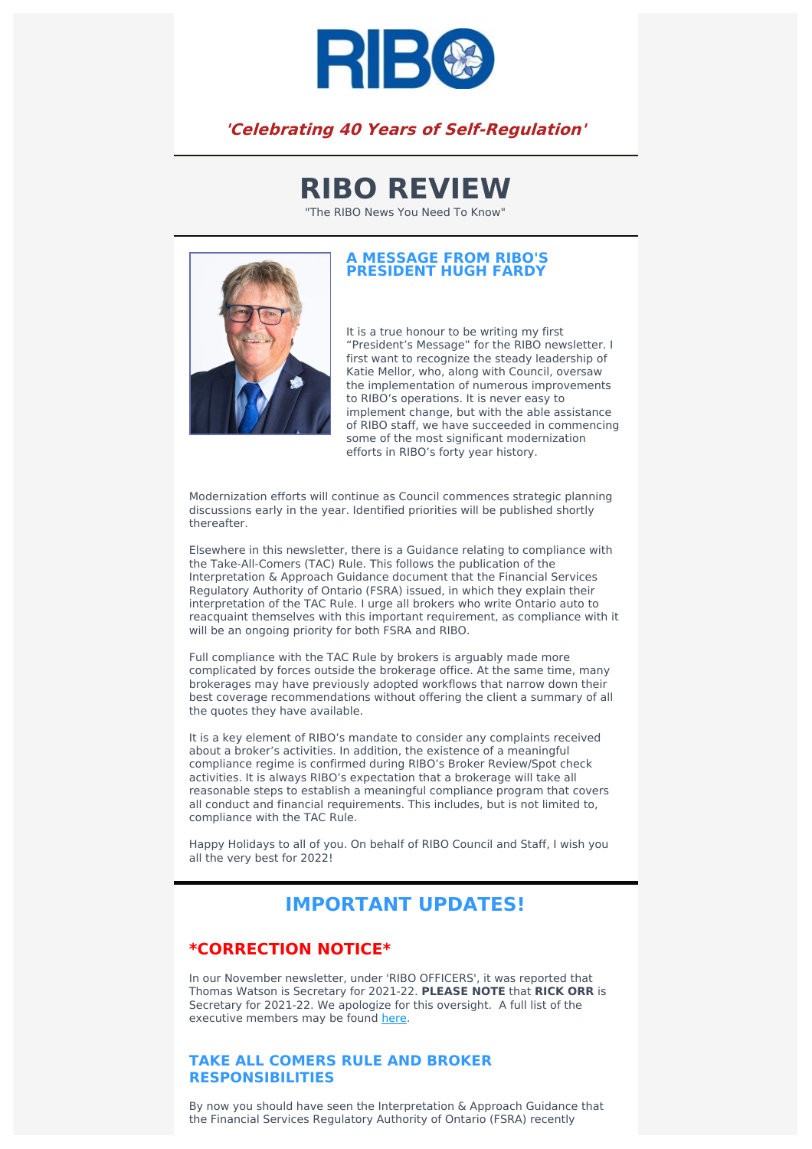

# **'Celebrating 40 Years of Self-Regulation'**

# **RIBO REVIEW**

"The RIBO News You Need To Know"



#### **A MESSAGE FROM RIBO'S PRESIDENT HUGH FARDY**

It is a true honour to be writing my first "President's Message" for the RIBO newsletter. I first want to recognize the steady leadership of Katie Mellor, who, along with Council, oversaw the implementation of numerous improvements to RIBO's operations. It is never easy to implement change, but with the able assistance of RIBO staff, we have succeeded in commencing some of the most significant modernization efforts in RIBO's forty year history.

Modernization efforts will continue as Council commences strategic planning discussions early in the year. Identified priorities will be published shortly thereafter.

Elsewhere in this newsletter, there is a Guidance relating to compliance with the Take-All-Comers (TAC) Rule. This follows the publication of the Interpretation & Approach Guidance document that the Financial Services Regulatory Authority of Ontario (FSRA) issued, in which they explain their interpretation of the TAC Rule. I urge all brokers who write Ontario auto to reacquaint themselves with this important requirement, as compliance with it will be an ongoing priority for both FSRA and RIBO.

Full compliance with the TAC Rule by brokers is arguably made more complicated by forces outside the brokerage office. At the same time, many brokerages may have previously adopted workflows that narrow down their best coverage recommendations without offering the client a summary of all the quotes they have available.

It is a key element of RIBO's mandate to consider any complaints received about a broker's activities. In addition, the existence of a meaningful compliance regime is confirmed during RIBO's Broker Review/Spot check activities. It is always RIBO's expectation that a brokerage will take all reasonable steps to establish a meaningful compliance program that covers all conduct and financial requirements. This includes, but is not limited to, compliance with the TAC Rule.

Happy Holidays to all of you. On behalf of RIBO Council and Staff, I wish you all the very best for 2022!

# **IMPORTANT UPDATES!**

## **\*CORRECTION NOTICE\***

In our November newsletter, under 'RIBO OFFICERS', it was reported that Thomas Watson is Secretary for 2021-22. **PLEASE NOTE** that **RICK ORR** is Secretary for 2021-22. We apologize for this oversight. A full list of the executive members may be found [here](https://www.ribo.com/council/).

### **TAKE ALL COMERS RULE AND BROKER RESPONSIBILITIES**

By now you should have seen the Interpretation & Approach Guidance that the Financial Services Regulatory Authority of Ontario (FSRA) recently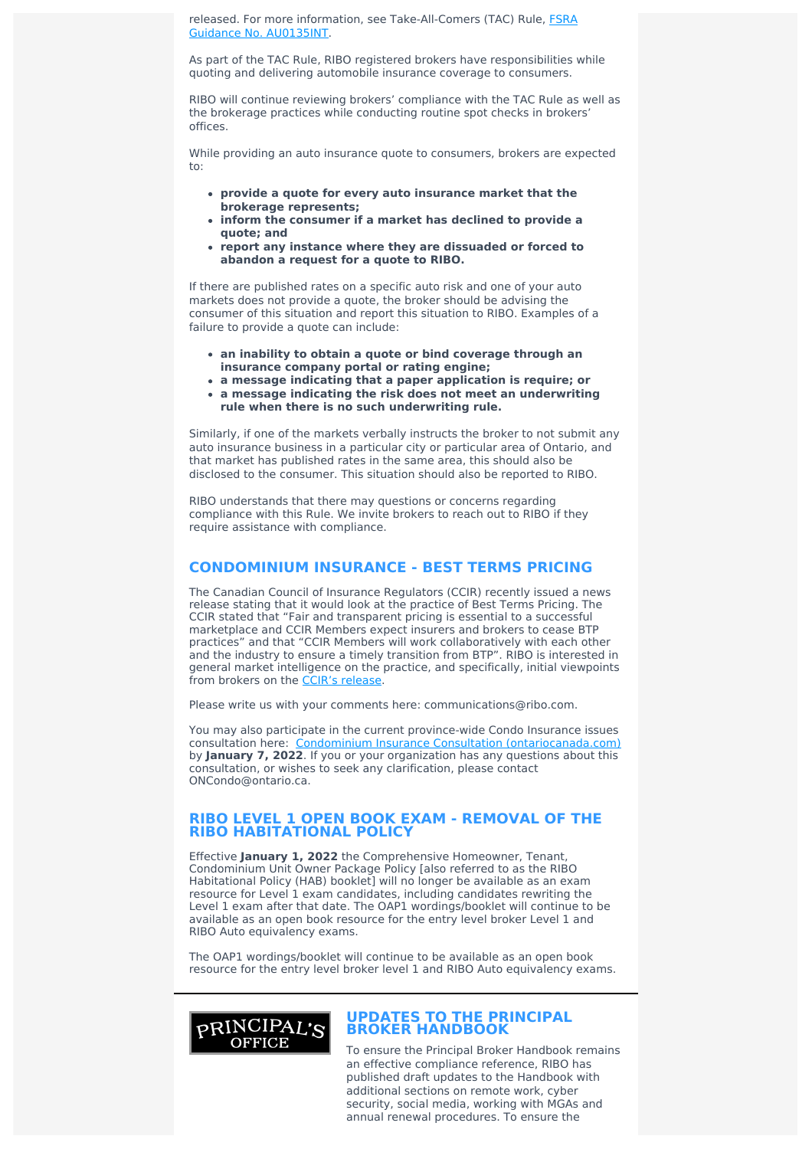released. For more information, see [Take-All-Comers](https://www.fsrao.ca/industry/auto-insurance/regulatory-framework/guidance-auto-insurance/interpretation-sections-237-238-insurance-act-and-sections-11-and-215-218-regulation-700-unfair-or-deceptive-acts-or-practices-and-approach-supervision-take-all-comers-rule) (TAC) Rule, FSRA Guidance No. AU0135INT.

As part of the TAC Rule, RIBO registered brokers have responsibilities while quoting and delivering automobile insurance coverage to consumers.

RIBO will continue reviewing brokers' compliance with the TAC Rule as well as the brokerage practices while conducting routine spot checks in brokers' offices.

While providing an auto insurance quote to consumers, brokers are expected to:

- **provide a quote for every auto insurance market that the brokerage represents;**
- **inform the consumer if a market has declined to provide a quote; and**
- **report any instance where they are dissuaded or forced to abandon a request for a quote to RIBO.**

If there are published rates on a specific auto risk and one of your auto markets does not provide a quote, the broker should be advising the consumer of this situation and report this situation to RIBO. Examples of a failure to provide a quote can include:

- **an inability to obtain a quote or bind coverage through an insurance company portal or rating engine;**
- **a message indicating that a paper application is require; or**
- **a message indicating the risk does not meet an underwriting rule when there is no such underwriting rule.**

Similarly, if one of the markets verbally instructs the broker to not submit any auto insurance business in a particular city or particular area of Ontario, and that market has published rates in the same area, this should also be disclosed to the consumer. This situation should also be reported to RIBO.

RIBO understands that there may questions or concerns regarding compliance with this Rule. We invite brokers to reach out to RIBO if they require assistance with compliance.

#### **CONDOMINIUM INSURANCE - BEST TERMS PRICING**

The Canadian Council of Insurance Regulators (CCIR) recently issued a news release stating that it would look at the practice of Best Terms Pricing. The CCIR stated that "Fair and transparent pricing is essential to a successful marketplace and CCIR Members expect insurers and brokers to cease BTP practices" and that "CCIR Members will work collaboratively with each other and the industry to ensure a timely transition from BTP". RIBO is interested in general market intelligence on the practice, and specifically, initial viewpoints from brokers on the CCIR's [release.](https://www.newswire.ca/news-releases/canadian-council-of-insurance-regulators-best-terms-pricing-800315795.html)

Please write us with your comments here: communications@ribo.com.

You may also participate in the current province-wide Condo Insurance issues consultation here: Condominium Insurance Consultation [\(ontariocanada.com\)](https://www.ontariocanada.com/registry/view.do?language=en&postingId=39827) by **January 7, 2022**. If you or your organization has any questions about this consultation, or wishes to seek any clarification, please contact ONCondo@ontario.ca.

#### **RIBO LEVEL 1 OPEN BOOK EXAM - REMOVAL OF THE RIBO HABITATIONAL POLICY**

Effective **January 1, 2022** the Comprehensive Homeowner, Tenant, Condominium Unit Owner Package Policy [also referred to as the RIBO Habitational Policy (HAB) booklet] will no longer be available as an exam resource for Level 1 exam candidates, including candidates rewriting the Level 1 exam after that date. The OAP1 wordings/booklet will continue to be available as an open book resource for the entry level broker Level 1 and RIBO Auto equivalency exams.

The OAP1 wordings/booklet will continue to be available as an open book resource for the entry level broker level 1 and RIBO Auto equivalency exams.



#### **UPDATES TO THE PRINCIPAL BROKER HANDBOOK**

To ensure the Principal Broker Handbook remains an effective compliance reference, RIBO has published draft updates to the Handbook with additional sections on remote work, cyber security, social media, working with MGAs and annual renewal procedures. To ensure the